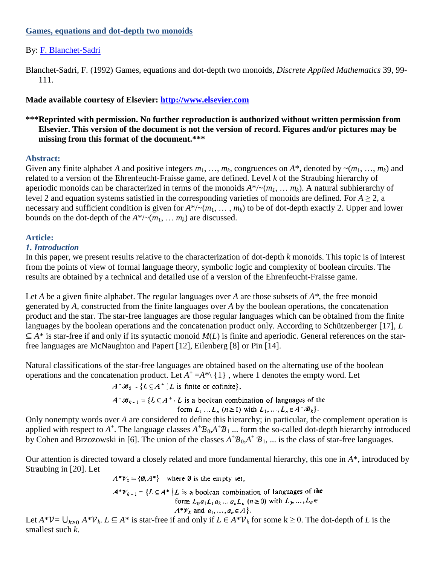## **Games, equations and dot-depth two monoids**

# By: [F. Blanchet-Sadri](http://libres.uncg.edu/ir/uncg/clist.aspx?id=565)

Blanchet-Sadri, F. (1992) Games, equations and dot-depth two monoids, *Discrete Applied Mathematics* 39, 99- 111.

# **Made available courtesy of Elsevier: [http://www.elsevier.com](http://www.elsevier.com/)**

# **\*\*\*Reprinted with permission. No further reproduction is authorized without written permission from Elsevier. This version of the document is not the version of record. Figures and/or pictures may be missing from this format of the document.\*\*\***

## **Abstract:**

Given any finite alphabet *A* and positive integers  $m_1, ..., m_k$ , congruences on  $A^*$ , denoted by  $\sim (m_1, ..., m_k)$  and related to a version of the Ehrenfeucht-Fraisse game, are defined. Level *k* of the Straubing hierarchy of aperiodic monoids can be characterized in terms of the monoids  $A^*/(m_1, \ldots, m_k)$ . A natural subhierarchy of level 2 and equation systems satisfied in the corresponding varieties of monoids are defined. For  $A \ge 2$ , a necessary and sufficient condition is given for  $A^*/(m_1, \ldots, m_k)$  to be of dot-depth exactly 2. Upper and lower bounds on the dot-depth of the  $A^*/(m_1, \ldots, m_k)$  are discussed.

## **Article:**

# *1. Introduction*

In this paper, we present results relative to the characterization of dot-depth *k* monoids. This topic is of interest from the points of view of formal language theory, symbolic logic and complexity of boolean circuits. The results are obtained by a technical and detailed use of a version of the Ehrenfeucht-Fraisse game.

Let *A* be a given finite alphabet. The regular languages over *A* are those subsets of *A\**, the free monoid generated by *A*, constructed from the finite languages over *A* by the boolean operations, the concatenation product and the star. The star-free languages are those regular languages which can be obtained from the finite languages by the boolean operations and the concatenation product only. According to Schützenberger [17], *L*  $\subseteq$  *A*\* is star-free if and only if its syntactic monoid *M*(*L*) is finite and aperiodic. General references on the starfree languages are McNaughton and Papert [12], Eilenberg [8] or Pin [14].

Natural classifications of the star-free languages are obtained based on the alternating use of the boolean operations and the concatenation product. Let  $A^+$  = $A^*$ \{1}, where 1 denotes the empty word. Let

 $A^+ \mathcal{B}_0 = \{ L \subseteq A^+ | L \text{ is finite or cofinite} \}.$ 

$$
A^+ \mathcal{B}_{k+1} = \{ L \subseteq A^+ \mid L \text{ is a boolean combination of languages of the form } L_1 \dots L_n \text{ (} n \ge 1 \text{) with } L_1, \dots, L_n \in A^+ \mathcal{B}_k \}.
$$

Only nonempty words over *A* are considered to define this hierarchy; in particular, the complement operation is applied with respect to  $A^+$ . The language classes  $A^+B_0$ ,  $A^+B_1$  ... form the so-called dot-depth hierarchy introduced by Cohen and Brzozowski in [6]. The union of the classes  $A^+B_0$ ,  $A^+B_1$ , ... is the class of star-free languages.

Our attention is directed toward a closely related and more fundamental hierarchy, this one in *A*\*, introduced by Straubing in [20]. Let

 $A^*Y_0 = \{0, A^*\}$  where Ø is the empty set,

 $A^*V_{k+1} = \{L \subseteq A^* | L$  is a boolean combination of languages of the form  $L_0 a_1 L_1 a_2 ... a_n L_n$  ( $n \ge 0$ ) with  $L_0, ..., L_n \in$  $A^* \mathcal{V}_k$  and  $a_1, \ldots, a_n \in A$ .

Let  $A^*V = \bigcup_{k \geq 0} A^*V_k$ .  $L \subseteq A^*$  is star-free if and only if  $L \in A^*V_k$  for some  $k \geq 0$ . The dot-depth of *L* is the smallest such *k*.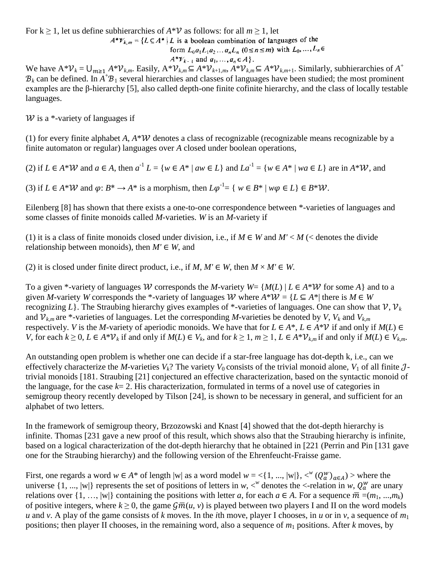For  $k \ge 1$ , let us define subhierarchies of  $A^*V$  as follows: for all  $m \ge 1$ , let  $A^* \mathcal{V}_{k,m} = \{ L \subseteq A^* | L$  is a boolean combination of languages of the form  $L_0 a_1 L_1 a_2 ... a_n L_n$  ( $0 \le n \le m$ ) with  $L_0, ..., L_n \in$  $A^*V_{k-1}$  and  $a_1, \ldots, a_n \in A$ .

We have  $A^* V_k = \bigcup_{m \ge 1} A^* V_{k,m}$ . Easily,  $A^* V_{k,m} \subseteq A^* V_{k+1,m}$ ,  $A^* V_{k,m} \subseteq A^* V_{k,m+1}$ . Similarly, subhierarchies of  $A^*$  $B_k$  can be defined. In  $A^+B_1$  several hierarchies and classes of languages have been studied; the most prominent examples are the β-hierarchy [5], also called depth-one finite cofinite hierarchy, and the class of locally testable languages.

 $W$  is a \*-variety of languages if

(1) for every finite alphabet *A*,  $A^*W$  denotes a class of recognizable (recognizable means recognizable by a finite automaton or regular) languages over *A* closed under boolean operations,

(2) if  $L \in A^* \mathcal{W}$  and  $a \in A$ , then  $a^{-1} L = \{w \in A^* \mid aw \in L\}$  and  $La^{-1} = \{w \in A^* \mid wa \in L\}$  are in  $A^* \mathcal{W}$ , and

(3) if  $L \in A^* \mathcal{W}$  and  $\varphi: B^* \to A^*$  is a morphism, then  $L\varphi^{-1} = \{ w \in B^* \mid w\varphi \in L \} \in B^* \mathcal{W}$ .

Eilenberg [8] has shown that there exists a one-to-one correspondence between \*-varieties of languages and some classes of finite monoids called *M*-varieties. *W* is an *M*-variety if

(1) it is a class of finite monoids closed under division, i.e., if  $M \in W$  and  $M' < M$  (< denotes the divide relationship between monoids), then  $M' \in W$ , and

(2) it is closed under finite direct product, i.e., if  $M, M' \in W$ , then  $M \times M' \in W$ .

To a given \*-variety of languages W corresponds the *M*-variety  $W = \{M(L) | L \in A^*W \text{ for some } A\}$  and to a given *M*-variety *W* corresponds the \*-variety of languages *W* where  $A^*W = \{L \subseteq A^* | \text{ there is } M \in W\}$ recognizing L. The Straubing hierarchy gives examples of \*-varieties of languages. One can show that  $V, V_k$ and  $V_{k,m}$  are \*-varieties of languages. Let the corresponding *M*-varieties be denoted by *V*,  $V_k$  and  $V_{k,m}$ respectively. *V* is the *M*-variety of aperiodic monoids. We have that for  $L \in A^*$ ,  $L \in A^*V$  if and only if  $M(L) \in$ V, for each  $k \ge 0$ ,  $L \in A^* \mathcal{V}_k$  if and only if  $M(L) \in V_k$ , and for  $k \ge 1$ ,  $m \ge 1$ ,  $L \in A^* \mathcal{V}_{k,m}$  if and only if  $M(L) \in V_{k,m}$ .

An outstanding open problem is whether one can decide if a star-free language has dot-depth k, i.e., can we effectively characterize the *M*-varieties  $V_k$ ? The variety  $V_0$  consists of the trivial monoid alone,  $V_1$  of all finite  $J$ trivial monoids [181. Straubing [21] conjectured an effective characterization, based on the syntactic monoid of the language, for the case  $k=2$ . His characterization, formulated in terms of a novel use of categories in semigroup theory recently developed by Tilson [24], is shown to be necessary in general, and sufficient for an alphabet of two letters.

In the framework of semigroup theory, Brzozowski and Knast [4] showed that the dot-depth hierarchy is infinite. Thomas [231 gave a new proof of this result, which shows also that the Straubing hierarchy is infinite, based on a logical characterization of the dot-depth hierarchy that he obtained in [221 (Perrin and Pin [131 gave one for the Straubing hierarchy) and the following version of the Ehrenfeucht-Fraisse game.

First, one regards a word  $w \in A^*$  of length  $|w|$  as a word model  $w = \langle \{1, ..., |w|\}, \langle^w(Q^w_a)_{a \in A} \rangle$  > where the universe  $\{1, ..., |w|\}$  represents the set of positions of letters in *w*,  $\langle w \rangle$  denotes the  $\langle$ -relation in *w*,  $Q_a^w$  are unary relations over  $\{1, ..., |w|\}$  containing the positions with letter *a*, for each  $a \in A$ . For a sequence  $\overline{m} = (m_1, ..., m_k)$ of positive integers, where  $k \ge 0$ , the game  $\mathcal{G}\bar{m}(u, v)$  is played between two players I and II on the word models *u* and *v*. A play of the game consists of *k* moves. In the *i*th move, player I chooses, in *u* or in *v*, a sequence of  $m_1$ positions; then player II chooses, in the remaining word, also a sequence of *m*<sup>1</sup> positions. After *k* moves, by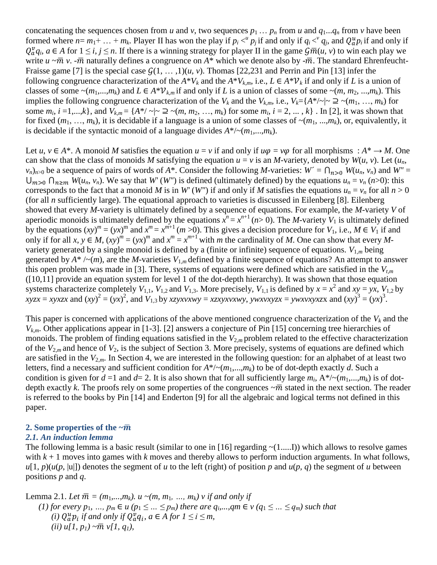concatenating the sequences chosen from *u* and *v*, two sequences  $p_1 \ldots p_n$  from *u* and  $q_1 \ldots q_n$  from *v* have been formed where  $n = m_1 + ... + m_k$ . Player II has won the play if  $p_i <^i p_j$  if and only if  $q_i <^i q_j$ , and  $Q_a^u p_i$  if and only if  $Q_{a}^{\nu}q_i$ ,  $a \in A$  for  $1 \leq i, j \leq n$ . If there is a winning strategy for player II in the game  $\overline{Gm(u, v)}$  to win each play we write  $u \sim \overline{m} v$ . - $\overline{m}$  naturally defines a congruence on  $A^*$  which we denote also by - $\overline{m}$ . The standard Ehrenfeucht-Fraisse game [7] is the special case  $G(1, \ldots, 1)(u, v)$ . Thomas [22,231 and Perrin and Pin [13] infer the following congruence characterization of the  $A^*V_k$  and the  $A^*V_{k,m}$ , i.e.,  $L \in A^*V_k$  if and only if *L* is a union of classes of some  $\sim (m_1,...,m_k)$  and  $L \in A^* \mathcal{V}_{k,m}$  if and only if *L* is a union of classes of some  $\sim (m, m_2, ..., m_k)$ . This implies the following congruence characterization of the  $V_k$  and the  $V_{k,m}$ , i.e.,  $V_k = \{A^{*}/\sim | \sim \supseteq \sim (m_1, ..., m_k) \}$  for some  $m_i$ ,  $i = 1,...,k$ , and  $V_{k,m} = \{A^*/ |\sim 2 \sim (m, m_2, ..., m_k) \text{ for some } m_i, i = 2, ..., k\}$ . In [2], it was shown that for fixed  $(m_1, ..., m_k)$ , it is decidable if a language is a union of some classes of  $\sim (m_1, ..., m_k)$ , or, equivalently, it is decidable if the syntactic monoid of a language divides  $A^*/(m_1,...,m_k)$ .

Let *u*,  $v \in A^*$ . A monoid *M* satisfies the equation  $u = v$  if and only if  $u\varphi = v\varphi$  for all morphisms :  $A^* \to M$ . One can show that the class of monoids *M* satisfying the equation  $u = v$  is an *M*-variety, denoted by  $W(u, v)$ . Let  $(u_n, v)$  $v_n$ <sub> $n>0$ </sub> be a sequence of pairs of words of *A*\*. Consider the following *M*-varieties:  $W' = \bigcap_{n>0} W(u_n, v_n)$  and  $W'' = \bigcap_{n>0} W(u_n, v_n)$  $U_{m>0}$   $\bigcap_{n\geq m} W(u_n, v_n)$ . We say that *W'* (*W''*) is defined (ultimately defined) by the equations  $u_n = v_n$  (*n*>0): this corresponds to the fact that a monoid *M* is in *W'* (*W''*) if and only if *M* satisfies the equations  $u_n = v_n$  for all  $n > 0$ (for all *n* sufficiently large). The equational approach to varieties is discussed in Eilenberg [8]. Eilenberg showed that every *M*-variety is ultimately defined by a sequence of equations. For example, the *M*-variety *V* of aperiodic monoids is ultimately defined by the equations  $x^n = x^{n+1}$  (*n*> 0). The *M*-variety  $V_1$  is ultimately defined by the equations  $(xy)^m = (yx)^m$  and  $x^m = x^{m+1}$   $(m>0)$ . This gives a decision procedure for  $V_1$ , i.e.,  $M \in V_1$  if and only if for all  $x, y \in M$ ,  $(xy)^m = (yx)^m$  and  $x^m = x^{m+1}$  with *m* the cardinality of *M*. One can show that every *M*variety generated by a single monoid is defined by a (finite or infinite) sequence of equations.  $V_{1,m}$  being generated by  $A^*$  /~(*m*), are the *M*-varieties  $V_{1,m}$  defined by a finite sequence of equations? An attempt to answer this open problem was made in [3]. There, systems of equations were defined which are satisfied in the *Vt,m* ([10,11] provide an equation system for level 1 of the dot-depth hierarchy). It was shown that those equation systems characterize completely  $V_{1,1}$ ,  $V_{1,2}$  and  $V_{1,3}$ . More precisely,  $V_{1,1}$  is defined by  $x = x^2$  and  $xy = yx$ ,  $V_{1,2}$  by  $xyzx = xyxzx$  and  $(xy)^2 = (yx)^2$ , and  $V_{1,3}$  by *xzyxvxwy* = *xzxyxvxwy*, *ywxvxyzx* = *ywxvxyxzx* and  $(xy)^3 = (yx)^3$ .

This paper is concerned with applications of the above mentioned congruence characterization of the  $V_k$  and the *Vk,m*. Other applications appear in [1-3]. [2] answers a conjecture of Pin [15] concerning tree hierarchies of monoids. The problem of finding equations satisfied in the  $V_{2,m}$  problem related to the effective characterization of the  $V_{2,m}$  and hence of  $V_2$ , is the subject of Section 3. More precisely, systems of equations are defined which are satisfied in the  $V_{2,m}$ . In Section 4, we are interested in the following question: for an alphabet of at least two letters, find a necessary and sufficient condition for  $A^*/(m_1,...,m_k)$  to be of dot-depth exactly *d*. Such a condition is given for  $d = 1$  and  $d = 2$ . It is also shown that for all sufficiently large  $m_i$ ,  $A^*/(m_1,...,m_k)$  is of dotdepth exactly k. The proofs rely on some properties of the congruences  $\sim \bar{m}$  stated in the next section. The reader is referred to the books by Pin [14] and Enderton [9] for all the algebraic and logical terms not defined in this paper.

#### **2. Some properties of the**  $\sim \bar{m}$

#### *2.1. An induction lemma*

The following lemma is a basic result (similar to one in [16] regarding  $\sim(1,...,I)$ ) which allows to resolve games with  $k + 1$  moves into games with k moves and thereby allows to perform induction arguments. In what follows,  $u[1, p)(u(p, |u|))$  denotes the segment of *u* to the left (right) of position *p* and  $u(p, q)$  the segment of *u* between positions *p* and *q*.

Lemma 2.1. Let 
$$
\overline{m} = (m_1, ..., m_k)
$$
.  $u \sim (m, m_1, ..., m_k)$   $\nu$  if and only if  
\n(1) for every  $p_1, ..., p_m \in u$  ( $p_1 \leq ... \leq p_m$ ) there are  $q_i, ..., qm \in v$  ( $q_1 \leq ... \leq q_m$ ) such that  
\n(i)  $Q_a^u p_i$  if and only if  $Q_a^v q_i$ ,  $a \in A$  for  $1 \leq i \leq m$ ,  
\n(ii)  $u[1, p_1) \sim \overline{m} v[1, q_1]$ ,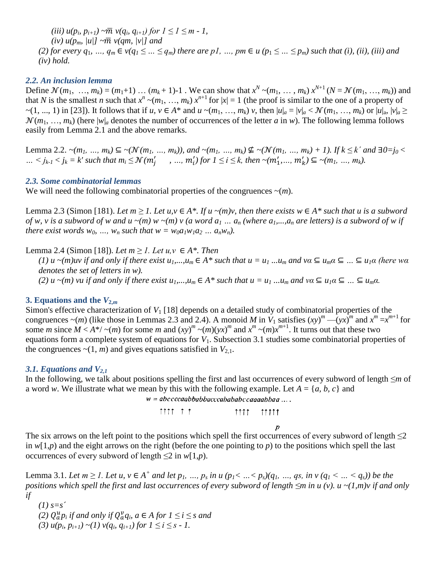$(iii) u(p_i, p_{i+1}) \sim \overline{m} v(q_i, q_{i+1})$  for  $1 \leq l \leq m-1$ , *(iv)*  $u(p_m, |u|) \sim \overline{m} v(q_m, |v|)$  and *(2) for every q<sub>1</sub>, …,*  $q_m \in v(q_1 \leq ... \leq q_m)$  *there are p1, …, pm*  $\in u$  *(p<sub>1</sub>*  $\leq ... \leq p_m$ *) such that <i>(i), (ii), (iii) and (iv) hold.*

#### *2.2. An inclusion lemma*

Define  $\mathcal{N}(m_1, ..., m_k) = (m_1+1) \dots (m_k+1) - 1$ . We can show that  $x^N \sim (m_1, ..., m_k) x^{N+1} (N = \mathcal{N}(m_1, ..., m_k))$  and that *N* is the smallest *n* such that  $x^n \sim (m_1, ..., m_k) x^{n+1}$  for  $|x| = 1$  (the proof is similar to the one of a property of  $\sim$ (1, ..., 1) in [23]). It follows that if u,  $v \in A^*$  and  $u \sim (m_1, \ldots, m_k)$  v, then  $|u|_a = |v|_a < \mathcal{N}(m_1, \ldots, m_k)$  or  $|u|_a, |v|_a \ge$  $\mathcal{N}(m_1, ..., m_k)$  (here  $|w|_a$  denotes the number of occurrences of the letter *a* in *w*). The following lemma follows easily from Lemma 2.1 and the above remarks.

Lemma 2.2.  $\sim (m_1, ..., m_k) \subseteq \sim (N(m_1, ..., m_k))$ , and  $\sim (m_1, ..., m_k) \nsubseteq \sim (N(m_1, ..., m_k) + 1)$ . If  $k \leq k'$  and  $\exists 0 = j_0 <$ ...  $\le j_{k-1} < j_k = k'$  such that  $m_i ≤ \mathcal{N}(m'_i, ..., m'_i)$  for  $1 ≤ i ≤ k$ , then  $\sim(m'_1, ..., m'_k) ⊆ \sim (m_1, ..., m_k)$ .

#### *2.3. Some combinatorial lemmas*

We will need the following combinatorial properties of the congruences  $\sim(m)$ .

Lemma 2.3 (Simon [181). Let  $m \ge 1$ . Let  $u, v \in A^*$ . If  $u \sim (m)v$ , then there exists  $w \in A^*$  such that u is a subword *of w, v is a subword of w and u ~(m)*  $w$  ~(m)  $v$  (a *word a<sub>1</sub>*  $\ldots$   $a_n$  (where  $a_1, \ldots, a_n$  are letters) is a subword of w if *there exist words*  $w_0$ , *…,*  $w_n$  *such that*  $w = w_0 a_1 w_1 a_2 ... a_n w_n$ *).* 

Lemma 2.4 (Simon [18]). *Let m ≥ 1. Let u,v* ∈  $A^*$ . *Then* 

*(1)*  $u \sim (m)uv$  if and only if there exist  $u_1,...,u_m \in A^*$  such that  $u = u_1...u_m$  and  $va \subseteq u_m a \subseteq ... \subseteq u_1 a$  (here wa *denotes the set of letters in w). (2)*  $u \sim (m)$  *vu* if and only if there exist  $u_1, ..., u_m \in A^*$  such that  $u = u_1, ..., u_m$  and  $va \subseteq u_1 a \subseteq ... \subseteq u_m a$ .

### **3. Equations and the**  $V_{2,m}$

Simon's effective characterization of  $V_1$  [18] depends on a detailed study of combinatorial properties of the congruences  $\sim$ (*m*) (like those in Lemmas 2.3 and 2.4). A monoid *M* in  $V_1$  satisfies  $(xy)^m - (yx)^m$  and  $x^m = x^{m+1}$  for some *m* since  $M < A^*/ \sim (m)$  for some *m* and  $(xy)^m \sim (m)(yx)^m$  and  $x^m \sim (m)x^{m+1}$ . It turns out that these two equations form a complete system of equations for *V*<sub>1</sub>. Subsection 3.1 studies some combinatorial properties of the congruences  $\sim$ (1, *m*) and gives equations satisfied in  $V_{2,1}$ .

### *3.1. Equations and V2,1*

In the following, we talk about positions spelling the first and last occurrences of every subword of length ≤*m* of a word *w*. We illustrate what we mean by this with the following example. Let  $A = \{a, b, c\}$  and

 $w = abccccaabbabbacccabababccaaaabbaa ...$ 

 $\uparrow \uparrow \uparrow \uparrow \uparrow \uparrow$  $\uparrow \uparrow \uparrow \uparrow \qquad \uparrow \uparrow \uparrow \uparrow \uparrow$ 

 $\overline{\rho}$ 

The six arrows on the left point to the positions which spell the first occurrences of every subword of length  $\leq 2$ in  $w(1,p)$  and the eight arrows on the right (before the one pointing to *p*) to the positions which spell the last occurrences of every subword of length  $\leq 2$  in *w*[1,*p*).

Lemma 3.1. Let  $m \ge 1$ . Let u,  $v \in A^+$  and let  $p_1, ..., p_s$  in u  $(p_1 < ... < p_s)(q_1, ..., q_s,$  in  $v (q_1 < ... < q_s))$  be the *positions which spell the first and last occurrences of every subword of length ≤m in u (v). u ~(1,m)v if and only if*

*(1) s=s´ (2)*  $Q_a^u p_i$  *if and only if*  $Q_a^v q_i$ *, a*  $\in$  *A for*  $1 \le i \le s$  *and* (3)  $u(p_i, p_{i+1}) \sim (1) v(q_i, q_{i+1})$  for  $1 \le i \le s - 1$ .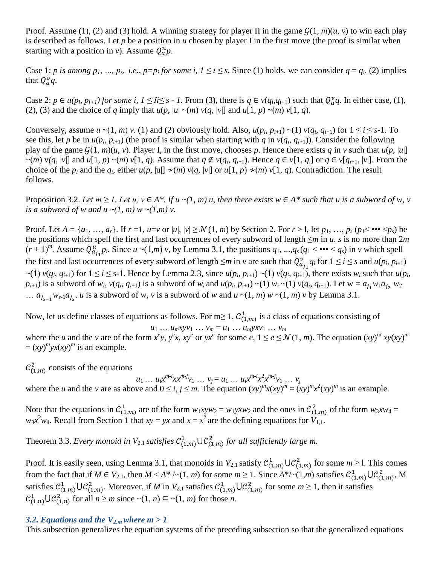Proof. Assume (1), (2) and (3) hold. A winning strategy for player II in the game  $G(1, m)(u, v)$  to win each play is described as follows. Let *p* be a position in *u* chosen by player I in the first move (the proof is similar when starting with a position in *v*). Assume  $Q_a^u p$ .

Case 1: *p* is among  $p_1$ , *…*,  $p_s$ , *i.e.*,  $p=p_i$  for some *i*,  $1 \le i \le s$ . Since (1) holds, we can consider  $q = q_i$ . (2) implies that  $Q_a^v q$ .

Case 2:  $p \in u(p_i, p_{i+1})$  for some i,  $1 \leq I \leq s$  - 1. From (3), there is  $q \in v(q_i, q_{i+1})$  such that  $Q_q^v q$ . In either case, (1), (2), (3) and the choice of *q* imply that  $u(p, |u| \sim (m) v(q, |v|)$  and  $u[1, p) \sim (m) v[1, q)$ .

Conversely, assume  $u \sim (1, m)$   $v$ . (1) and (2) obviously hold. Also,  $u(p_i, p_{i+1}) \sim (1) v(q_i, q_{i+1})$  for  $1 \le i \le s-1$ . To see this, let *p* be in  $u(p_i, p_{i+1})$  (the proof is similar when starting with *q* in  $v(q_i, q_{i+1})$ ). Consider the following play of the game  $G(1, m)(u, v)$ . Player I, in the first move, chooses p. Hence there exists q in v such that  $u(p, |u|)$  $\sim(m)$  v(q, |v|] and u[1, p)  $\sim(m)$  v[1, q). Assume that  $q \notin v(q_i, q_{i+1})$ . Hence  $q \in v[1, q_i]$  or  $q \in v[q_{i+1}, |v|]$ . From the choice of the  $p_i$  and the  $q_i$ , either  $u(p, |u|] \neq (m)$   $v(q, |v|]$  or  $u[1, p) \neq (m)$   $v[1, q)$ . Contradiction. The result follows.

Proposition 3.2. Let  $m \ge 1$ . Let  $u, v \in A^*$ . If  $u \sim (1, m)$  u, then there exists  $w \in A^*$  such that u is a subword of w, v *is a subword of w and u ~(1, m) w ~(1,m) v.* 

Proof. Let  $A = \{a_1, ..., a_r\}$ . If  $r = 1$ ,  $u = v$  or  $|u|, |v| \ge \mathcal{N}(1, m)$  by Section 2. For  $r > 1$ , let  $p_1, ..., p_s$   $(p_1 < \cdots < p_s)$  be the positions which spell the first and last occurrences of every subword of length ≤*m* in *u*. *s* is no more than 2*m*  $(r+1)^m$ . Assume  $Q_{a_i}^u p_i$ . Since  $u \sim (1,m)$  v, by Lemma 3.1, the positions  $q_1, ..., q_s (q_1 < \cdots < q_s)$  in *v* which spell the first and last occurrences of every subword of length  $\leq m$  in *v* are such that  $Q_{a_i}^v q_i$  for  $1 \leq i \leq s$  and  $u(p_i, p_{i+1})$  $\sim$ (1)  $v(q_i, q_{i+1})$  for  $1 \le i \le s-1$ . Hence by Lemma 2.3, since  $u(p_i, p_{i+1}) \sim$ (1)  $v(q_i, q_{i+1})$ , there exists  $w_i$  such that  $u(p_i, q_i)$  $p_{i+1}$ ) is a subword of  $w_i$ ,  $v(q_i, q_{i+1})$  is a subword of  $w_i$  and  $u(p_i, p_{i+1}) \sim (1) w_i \sim (1) v(q_i, q_{i+1})$ . Let  $w = a_{j_1} w_1 a_{j_2} w_2$ ...  $a_{i_{s-1}} w_{s-1} a_{i_s}$ , *u* is a subword of *w*, *v* is a subword of *w* and  $u \sim (1, m)$  *w*  $\sim (1, m)$  *v* by Lemma 3.1.

Now, let us define classes of equations as follows. For m≥ 1,  $\mathcal{C}_{(1,m)}^1$  is a class of equations consisting of

$$
u_1 ... u_m x y v_1 ... v_m = u_1 ... u_m y x v_1 ... v_m
$$

where the u and the v are of the form  $x^e y$ ,  $y^e x$ ,  $xy^e$  or  $yx^e$  for some  $e, 1 \le e \le \mathcal{N}(1, m)$ . The equation  $(xy)^m xy(xy)^m$  $=(xy)^m yx(xy)^m$  is an example.

 $\mathcal{C}_{(1,m)}^2$  consists of the equations

 $u_1 ... u_i x^{m-i} x x^{m-j} v_1 ... v_j = u_1 ... u_i x^{m-i} x^2 x^{m-j} v_1 ... v_j$ 

where the *u* and the *v* are as above and  $0 \le i, j \le m$ . The equation  $(xy)^m x (xy)^m = (xy)^m x^2 (xy)^m$  is an example.

Note that the equations in  $C_{(1,m)}^1$  are of the form  $w_1xyw_2 = w_1yxw_2$  and the ones in  $C_{(1,m)}^2$  of the form  $w_3xw_4 =$  $w_3x^2w_4$ . Recall from Section 1 that  $xy = yx$  and  $x = x^2$  are the defining equations for  $V_{1,1}$ .

Theorem 3.3. *Every monoid in*  $V_{2,1}$  *satisfies*  $C_{(1,m)}^1 \cup C_{(1,m)}^2$  *for all sufficiently large m.* 

Proof. It is easily seen, using Lemma 3.1, that monoids in  $V_{2,1}$  satisfy  $C_{(1,m)}^1 \cup C_{(1,m)}^2$  for some  $m \ge 1$ . This comes from the fact that if  $M \in V_{2,1}$ , then  $M < A^* / \sim (1, m)$  for some  $m \ge 1$ . Since  $A^* / \sim (1, m)$  satisfies  $C_{(1,m)}^1 \cup C_{(1,m)}^2$ , M satisfies  $C_{(1,m)}^1\cup C_{(1,m)}^2$ . Moreover, if *M* in  $V_{2,1}$  satisfies  $C_{(1,m)}^1\cup C_{(1,m)}^2$  for some  $m\geq 1$ , then it satisfies  $\mathcal{C}_{(1,n)}^1 \cup \mathcal{C}_{(1,n)}^2$  for all  $n \geq m$  since  $\sim(1,n) \subseteq \sim(1,m)$  for those *n*.

## 3.2. Equations and the  $V_{2,m}$  where  $m > 1$

This subsection generalizes the equation systems of the preceding subsection so that the generalized equations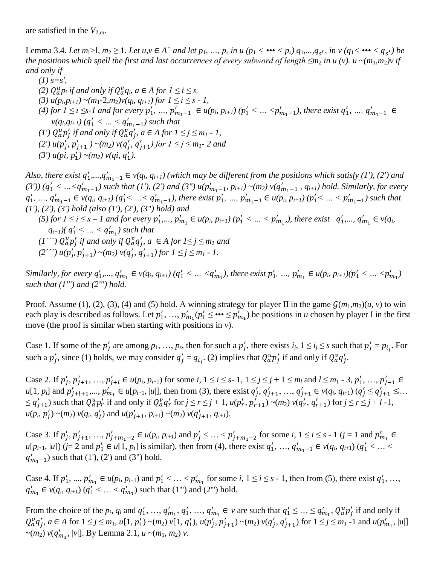are satisfied in the  $V_{2,m}$ .

Lemma 3.4. Let  $m_1>1$ ,  $m_2 \ge 1$ . Let  $u, v \in A^+$  and let  $p_1, ..., p_s$  in  $u (p_1 < \cdots < p_s)$   $q_1,..., q_{s'}$ , in  $v (q_1 < \cdots < q_{s'})$  be *the positions which spell the first and last occurrences of every subword of length*  $\leq m_2$  *in u (v). u ~(m<sub>1</sub>,m<sub>2</sub>)v if and only if*

\n- (1) 
$$
s=s'
$$
,
\n- (2)  $Q_a^u p_i$  if and only if  $Q_a^v q_i$ ,  $a \in A$  for  $1 \leq i \leq s$ ,
\n- (3)  $u(p_i p_{i+1}) \sim (m_1 - 2, m_2)v(q_i, q_{i+1})$  for  $1 \leq i \leq s - 1$ ,
\n- (4) for  $1 \leq i \leq s-1$  and for every  $p'_1, \ldots, p'_{m_1-1} \in u(p_i, p_{i+1})$  ( $p'_1 < \ldots < p'_{m_1-1}$ ), there exist  $q'_1, \ldots, q'_{m_1-1} \in v(q_i, q_{i+1})$  ( $q'_1 < \ldots < q'_{m_1-1}$ ) such that
\n- (1')  $Q_a^u p'_j$  if and only if  $Q_a^v q'_j$ ,  $a \in A$  for  $1 \leq j \leq m_1 - 1$ ,
\n- (2')  $u(p'_j, p'_{j+1}) \sim (m_2) v(q'_j, q'_{j+1})$  for  $1 \leq j \leq m_1 - 2$  and
\n- (3')  $u(p_i, p'_1) \sim (m_2) v(q_i, q'_1)$ .
\n

Also, there exist  $q'_1,...,q'_{m_1-1} \in v(q_i,q_{i+1})$  (which may be different from the positions which satisfy (1'), (2') and (3'))  $(q'_1 < ... < q'_{m_1-1})$  such that (1'), (2') and (3")  $u(p'_{m_1-1}, p_{i+1}) \sim (m_2) v(q'_{m_1-1}, q_{i+1})$  hold. Similarly, for every  $q'_1, ..., q'_{m_1-1} \in v(q_i, q_{i+1})$  ( $q'_1 < ... < q'_{m_1-1}$ ), there exist  $p'_1, ..., p'_{m_1-1} \in u(p_i, p_{i+1})$  ( $p'_1 < ... < p'_{m_1-1}$ ) such that *(1'), (2'), (3') hold (also (1'), (2'), (3") hold) and* (5) for  $1 \le i \le s-1$  and for every  $p'_1, ..., p'_{m_1} \in u(p_i, p_{i+1})$   $(p'_1 < ... < p'_{m_1})$ , there exist  $q'_1, ..., q'_{m_1} \in v(q_i, q'_i)$  $q_{i+1}$ )( $q'_{1} < ... < q'_{m_{1}}$ ) such that  $(1'')$   $Q_a^u p'_i$  *if and only if*  $Q_a^v q'_i$ *, a*  $\in$  *A for*  $1 \le j \le m_1$  *and*  $(2^{77}) u(p'_1, p'_{1+1}) \sim (m_2) v(q'_1, q'_{1+1})$  for  $1 \le j \le m_1 - 1$ .

Similarly, for every  $q'_1,..., q'_{m_1} \in v(q_i, q_{i+1})$   $(q'_1 < ... < q'_{m_1})$ , there exist  $p'_1, ..., p'_{m_1} \in u(p_i, p_{i+1})$  $(p'_1 < ... < p'_{m_1})$ *such that (1''') and (2''') hold.*

Proof. Assume (1), (2), (3), (4) and (5) hold. A winning strategy for player II in the game  $\mathcal{G}(m_1,m_2)(u, v)$  to win each play is described as follows. Let  $p'_1, ..., p'_m, (p'_1 \le \cdots \le p'_m)$  be positions in *u* chosen by player I in the first move (the proof is similar when starting with positions in *v*).

Case 1. If some of the  $p'_i$  are among  $p_1, ..., p_s$ , then for such a  $p'_i$ , there exists  $i_j$ ,  $1 \le i_j \le s$  such that  $p'_i = p_{i_i}$ . For such a  $p'_i$ , since (1) holds, we may consider  $q'_i = q_i$ . (2) implies that  $Q^u_a p'_i$  if and only if  $Q^v_a q'_i$ .

Case 2. If  $p'_i, p'_{i+1}, ..., p'_{i+l} \in u(p_i, p_{i+1})$  for some  $i, 1 \le i \le s-1, 1 \le j \le j+1 \le m_i$  and  $l \le m_1 - 3, p'_1, ..., p'_j$  $u[1, p_i]$  and  $p'_{i+l+1},..., p'_{m_i} \in u[p_{i+1}, |u|]$ , then from (3), there exist  $q'_i, q'_{i+1},..., q'_{i+1} \in v(q_i, q_{i+1})$   $(q'_i \leq q'_{i+1} \leq ...$  $\leq q'_{i+1}$ ) such that  $Q_{a}^{u}p'_{r}$  if and only if  $Q_{a}^{v}q'_{r}$  for  $j \leq r \leq j+1$ ,  $u(p'_{r}, p'_{r+1}) \sim (m_{2}) v(q'_{r}, q'_{r+1})$  for  $j \leq r \leq j+l-1$ ,  $u(p_i, p'_i) \sim (m_2) v(q_i, q'_i)$  and  $u(p'_{i+1}, p_{i+1}) \sim (m_2) v(q'_{i+1}, q_{i+1}).$ 

Case 3. If  $p'_i, p'_{i+1}, ..., p'_{i+m_1-2} \in u(p_i, p_{i+1})$  and  $p'_i < ... < p'_{i+m_1-2}$  for some  $i, 1 \le i \le s - 1$  ( $j = 1$  and  $p'_n$  $u[p_{i+1}, |u]$ ) (*j*= 2 and  $p'_1 \in u[1, p_i]$  is similar), then from (4), there exist  $q'_1, ..., q'_{m_1-1} \in v(q_i, q_{i+1})$  ( $q'_1 < ... <$  $q'_{m_1-1}$ ) such that (1'), (2') and (3") hold.

Case 4. If  $p'_1, ..., p'_{m_1} \in u(p_i, p_{i+1})$  and  $p'_1 < ... < p'_{m_1}$  for some *i*,  $1 \le i \le s$  - 1, then from (5), there exist  $q'_1, ...,$  $q'_{m_1} \in v(q_i, q_{i+1})$  ( $q'_1 < ... < q'_{m_1}$ ) such that (1''') and (2''') hold.

From the choice of the  $p_i$ ,  $q_i$  and  $q'_1$ , ...,  $q'_{m_1}$ ,  $q'_1$ , ...,  $q'_{m_1} \in v$  are such that  $q'_1 \leq ... \leq q'_{m_1}$ ,  $Q^u_a p'_i$  if and only if  $Q_{\alpha}^{\nu}q'_{j}$ ,  $a \in A$  for  $1 \leq j \leq m_1$ ,  $u[1, p'_1) \sim (m_2) \nu[1, q'_1)$ ,  $u(p'_j, p'_{j+1}) \sim (m_2) \nu(q'_j, q'_{j+1})$  for  $1 \leq j \leq m_1$ -1 and  $u(p'_{m_1}, |u|)$  $\sim$ (*m*<sub>2</sub>) *v*( $q'_{m_1}$ , |*v*|]. By Lemma 2.1, *u*  $\sim$ (*m*<sub>1</sub>, *m*<sub>2</sub>) *v*.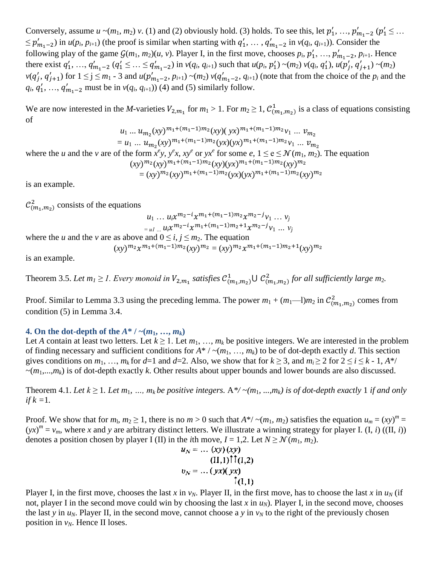Conversely, assume  $u \sim (m_1, m_2) v$ . (1) and (2) obviously hold. (3) holds. To see this, let  $p'_1, ..., p'_{m_1-2}$  ( $p'_1 \leq ...$  $\leq p'_{m_1-2}$ ) in  $u(p_i, p_{i+1})$  (the proof is similar when starting with  $q'_1, \ldots, q'_{m_1-2}$  in  $v(q_i, q_{i+1})$ ). Consider the following play of the game  $\mathcal{G}(m_1, m_2)(u, v)$ . Player I, in the first move, chooses  $p_i, p'_1, ..., p'_{m_1-2}, p_{i+1}$ . Hence there exist  $q'_1, ..., q'_{m_1-2}$   $(q'_1 \leq ... \leq q'_{m_1-2})$  in  $v(q_i, q_{i+1})$  such that  $u(p_i, p'_1) \sim (m_2) v(q_i, q'_1)$ ,  $u(p'_i, q'_{i+1}) \sim (m_2)$  $v(q'_i, q'_{i+1})$  for  $1 \leq j \leq m_1$  - 3 and  $u(p'_{m_1-2}, p_{i+1}) \sim (m_2) v(q'_{m_1-2}, q_{i+1})$  (note that from the choice of the  $p_i$  and the  $q_i, q'_1, ..., q'_{m_1-2}$  must be in  $v(q_i, q_{i+1})$  (4) and (5) similarly follow.

We are now interested in the *M*-varieties  $V_{2,m_1}$  for  $m_1 > 1$ . For  $m_2 \ge 1$ ,  $C_{(m_1,m_2)}^1$  is a class of equations consisting of

$$
u_1 \dots u_{m_2}(xy)^{m_1 + (m_1 - 1)m_2}(xy)(yx)^{m_1 + (m_1 - 1)m_2}v_1 \dots v_{m_2}
$$
  
=  $u_1 \dots u_{m_2}(xy)^{m_1 + (m_1 - 1)m_2}(yx)(yx)^{m_1 + (m_1 - 1)m_2}v_1 \dots v_{m_2}$ 

where the *u* and the *v* are of the form  $x^e y$ ,  $y^e x$ ,  $xy^e$  or  $yx^e$  for some *e*,  $1 \le e \le \mathcal{N}(m_1, m_2)$ . The equation  $(xy)^{m_2}(xy)^{m_1+(m_1-1)m_2}(xy)(yx)^{m_1+(m_1-1)m_2}(xy)^{m_1}$ 

 $=(xy)^{m_2}(xy)^{m_1+(m_1-1)m_2}(yx)(yx)^{m_1+(m_1-1)m_2}(xy)^{m_2}$ 

is an example.

 $\mathcal{C}_{m_1,m_2}^2$  consists of the equations

 $u_1 ... u_i x^{m_2 - i} x^{m_1 + (m_1 - 1)m_2} x^{m_2 - j} v_1 ... v_j$  $=$   $u_1$  *...*  $u_i \chi^{m_2 - i} \chi^{m_1 + (m_1 - 1)m_2 + 1} \chi^{m_2 - j} v_1$  *...*  $v_j$ 

where the *u* and the *v* are as above and  $0 \le i, j \le m_2$ . The equation

 $(xy)^{m_2}x^{m_1+(m_1-1)m_2}(xy)^{m_2} = (xy)^{m_2}x^{m_1+(m_1-1)m_2+1}(xy)^{m_2}$ 

is an example.

Theorem 3.5. Let  $m_1 \geq 1$ . Every monoid in  $V_{2,m_1}$  satisfies  $\mathcal{C}^1_{(m_1,m_2)} \cup \mathcal{C}^2_{(m_1,m_2)}$  for all sufficiently large  $m_2$ .

Proof. Similar to Lemma 3.3 using the preceding lemma. The power  $m_1 + (m_1-1)m_2$  in  $\mathcal{C}_{(m_1,m_2)}^2$  comes from condition (5) in Lemma 3.4.

### **4. On the dot-depth of the**  $A^* / \sim (m_1, ..., m_k)$

Let *A* contain at least two letters. Let  $k \ge 1$ . Let  $m_1, \ldots, m_k$  be positive integers. We are interested in the problem of finding necessary and sufficient conditions for  $A^* / \sim (m_1, ..., m_k)$  to be of dot-depth exactly *d*. This section gives conditions on  $m_1, ..., m_k$  for  $d=1$  and  $d=2$ . Also, we show that for  $k \ge 3$ , and  $m_i \ge 2$  for  $2 \le i \le k - 1$ ,  $A^*/$  $\sim(m_1,...,m_k)$  is of dot-depth exactly *k*. Other results about upper bounds and lower bounds are also discussed.

Theorem 4.1. Let  $k \geq 1$ . Let  $m_1, ..., m_k$  be positive integers.  $A^*/(m_1, ..., m_k)$  is of dot-depth exactly 1 if and only *if k =*1*.*

Proof. We show that for  $m_1, m_2 \ge 1$ , there is no  $m > 0$  such that  $A^*/ \sim (m_1, m_2)$  satisfies the equation  $u_m = (xy)^m =$  $(yx)^m = v_m$ , where *x* and *y* are arbitrary distinct letters. We illustrate a winning strategy for player I. (I, *i*) ((II, *i*)) denotes a position chosen by player I (II) in the *i*th move,  $I = 1,2$ . Let  $N \ge \mathcal{N}(m_1, m_2)$ .

$$
u_N = \dots (xy)(xy)
$$
  
(II,1) $\uparrow \uparrow (I,2)$   

$$
v_N = \dots (yx)(yx)
$$
  

$$
\uparrow (I,1)
$$

Player I, in the first move, chooses the last *x* in  $v_N$ . Player II, in the first move, has to choose the last *x* in  $u_N$  (if not, player I in the second move could win by choosing the last  $x$  in  $u_N$ ). Player I, in the second move, chooses the last *y* in  $u_N$ . Player II, in the second move, cannot choose a *y* in  $v_N$  to the right of the previously chosen position in  $v_N$ . Hence II loses.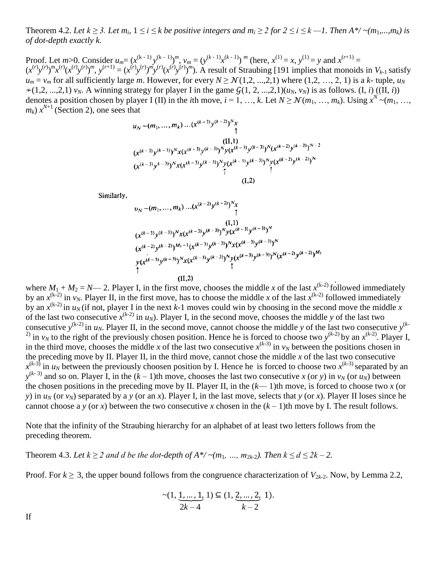Theorem 4.2. Let  $k \ge 3$ . Let  $m_i$ ,  $1 \le i \le k$  be positive integers and  $m_i \ge 2$  for  $2 \le i \le k-1$ . Then  $A^*/\sim(m_1,...,m_k)$  is *of dot-depth exactly k.*

Proof. Let  $m>0$ . Consider  $u_m = (x^{(k-1)}y^{(k-1)})^m$ ,  $v_m = (y^{(k-1)}x^{(k-1)})^m$  (here,  $x^{(1)} = x$ ,  $y^{(1)} = y$  and  $x^{(r+1)} = y$  $(x^{(r)}y^{(r)})^m x^{(r)}(x^{(r)}y^{(r)})^m$ ,  $y^{(r+1)} = (x^{(r)}y^{(r)})^m y^{(r)}(x^{(r)}y^{(r)})^m$ . A result of Straubing [191 implies that monoids in  $V_{k-1}$  satisfy  $u_m = v_m$  for all sufficiently large *m*. However, for every  $N \ge \mathcal{N}(1,2, ..., 2, 1)$  where  $(1,2, ..., 2, 1)$  is a *k*- tuple,  $u_N$  $\mathcal{L}(1,2,\dots,2,1)$  *v<sub>N</sub>*. A winning strategy for player I in the game  $\mathcal{G}(1, 2, \dots,2,1)(u_N, v_N)$  is as follows. (I, *i*) ((II, *i*)) denotes a position chosen by player I (II) in the *i*th move,  $i = 1, ..., k$ . Let  $N \geq \mathcal{N}(m_1, ..., m_k)$ . Using  $x^N \sim (m_1, ..., m_k)$  $m_k$ )  $x^{N+1}$  (Section 2), one sees that

$$
u_N \sim (m_1, ..., m_k) ... (x^{(k-2)}y^{(k-2)})^N x
$$
  
\n
$$
(II,1)
$$
  
\n
$$
(x^{(k-3)}y^{(k-3)})^N x (x^{(k-3)}y^{(k-3)})^N y (x^{(k-3)}y^{(k-3)})^N y (x^{(k-2)}y^{(k-2)})^{N-2}
$$
  
\n
$$
(x^{(k-3)}y^{k-3})^N x (x^{(k-3)}y^{(k-3)})^N y (x^{(k-3)}y^{(k-3)})^N y (x^{(k-2)}y^{(k-2)})^N
$$
  
\n
$$
(I,2)
$$

Similarly,

$$
v_N - (m_1, ..., m_k) ... (x^{(k-2)}y^{(k-2)})^N x
$$
  
\n(1,1)  
\n
$$
(x^{(k-3)}y^{(k-3)})^N x (x^{(k-3)}y^{(k-3)})^N y (x^{(k-3)}y^{(k-3)})^N
$$
  
\n
$$
(x^{(k-2)}y^{(k-2)})^{M_1-1} (x^{(k-3)}y^{(k-3)})^N x (x^{(k-3)}y^{(k-3)})^N
$$
  
\n
$$
y (x^{(k-3)}y^{(k-3)})^N x (x^{(k-3)}y^{(k-3)})^N y (x^{(k-3)}y^{(k-3)})^N (x^{(k-2)}y^{(k-2)})^{M_2}
$$
  
\n(II,2)

where  $M_1 + M_2 = N$ — 2. Player I, in the first move, chooses the middle *x* of the last  $x^{(k-2)}$  followed immediately by an  $x^{(k-2)}$  in  $v_N$ . Player II, in the first move, has to choose the middle *x* of the last  $x^{(k-2)}$  followed immediately by an  $x^{(k-2)}$  in  $u_N$  (if not, player I in the next *k*-1 moves could win by choosing in the second move the middle *x* of the last two consecutive  $x^{(k-2)}$  in  $u_N$ ). Player I, in the second move, chooses the middle *y* of the last two consecutive  $y^{(k-2)}$  in  $u_N$ . Player II, in the second move, cannot choose the middle *y* of the last two consecutive  $y^{(k-1)}$ <sup>2)</sup> in  $v_N$  to the right of the previously chosen position. Hence he is forced to choose two  $y^{(k-2)}$  by an  $x^{(k-2)}$ . Player I, in the third move, chooses the middle *x* of the last two consecutive  $x^{(k-3)}$  in  $v_N$  between the positions chosen in the preceding move by II. Player II, in the third move, cannot chose the middle *x* of the last two consecutive  $x^{(k-3)}$  in  $u_N$  between the previously choosen position by I. Hence he is forced to choose two  $x^{(k-3)}$  separated by an  $y^{(k-3)}$  and so on. Player I, in the  $(k-1)$ th move, chooses the last two consecutive *x* (or *y*) in *v<sub>N</sub>* (or *u<sub>N</sub>*) between the chosen positions in the preceding move by II. Player II, in the  $(k-1)$ th move, is forced to choose two *x* (or *y*) in  $u_N$  (or  $v_N$ ) separated by a *y* (or an *x*). Player I, in the last move, selects that *y* (or *x*). Player II loses since he cannot choose a *y* (or *x*) between the two consecutive *x* chosen in the  $(k-1)$ th move by I. The result follows.

Note that the infinity of the Straubing hierarchy for an alphabet of at least two letters follows from the preceding theorem.

Theorem 4.3. Let  $k \geq 2$  and d be the dot-depth of  $A^*/\sim(m_1, ..., m_{2k-2})$ . Then  $k \leq d \leq 2k-2$ .

Proof. For  $k \geq 3$ , the upper bound follows from the congruence characterization of  $V_{2k-2}$ . Now, by Lemma 2.2,

$$
\sim (1, \underbrace{1, \dots, 1}_{2k-4}, 1) \subseteq (1, \underbrace{2, \dots, 2}_{k-2}, 1).
$$

If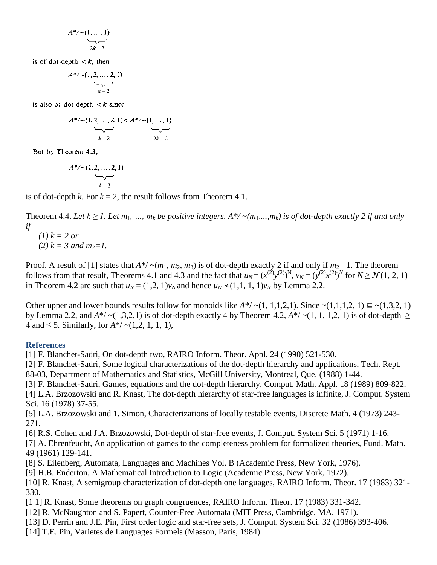$$
A^*/\sim(1,\ldots,1)
$$
  
2k-2

is of dot-depth  $\lt k$ , then

$$
A^*/\sim(1,2,\ldots,2,1)
$$

is also of dot-depth  $\lt k$  since

$$
A^*/\sim(1, 2, ..., 2, 1) < A^*/\sim(1, ..., 1).
$$
  
\n
$$
A^*/\sim(1, ..., 1).
$$
  
\n
$$
k-2
$$
  
\n
$$
2k-2
$$

But by Theorem 4.3,

$$
A^*/\sim(1,2,\ldots,2,1)
$$

is of dot-depth *k*. For  $k = 2$ , the result follows from Theorem 4.1.

Theorem 4.4. Let  $k \ge 1$ . Let  $m_1, ..., m_k$  be positive integers.  $A^*/(m_1,...,m_k)$  is of dot-depth exactly 2 if and only *if*

(1) 
$$
k = 2
$$
 or  
(2)  $k = 3$  and  $m_2=1$ .

Proof. A result of [1] states that  $A^*/ \sim (m_1, m_2, m_3)$  is of dot-depth exactly 2 if and only if  $m_2 = 1$ . The theorem follows from that result, Theorems 4.1 and 4.3 and the fact that  $u_N = (x^{(2)}y^{(2)})^N$ ,  $v_N = (y^{(2)}x^{(2)})^N$  for  $N \ge N(1, 2, 1)$ in Theorem 4.2 are such that  $u_N = (1,2, 1)v_N$  and hence  $u_N \neq (1,1, 1, 1)v_N$  by Lemma 2.2.

Other upper and lower bounds results follow for monoids like  $A^*/(1, 1,1,2,1)$ . Since  $\sim(1,1,1,2, 1) \subseteq \sim(1,3,2, 1)$ by Lemma 2.2, and  $A^*/(1,3,2,1)$  is of dot-depth exactly 4 by Theorem 4.2,  $A^*/(1, 1, 1, 2, 1)$  is of dot-depth  $\geq$ 4 and ≤ 5. Similarly, for *A*\*/ ~(1,2, 1, 1, 1),

#### **References**

[1] F. Blanchet-Sadri, On dot-depth two, RAIRO Inform. Theor. Appl. 24 (1990) 521-530.

[2] F. Blanchet-Sadri, Some logical characterizations of the dot-depth hierarchy and applications, Tech. Rept.

88-03, Department of Mathematics and Statistics, McGill University, Montreal, Que. (1988) 1-44.

[3] F. Blanchet-Sadri, Games, equations and the dot-depth hierarchy, Comput. Math. Appl. 18 (1989) 809-822.

[4] L.A. Brzozowski and R. Knast, The dot-depth hierarchy of star-free languages is infinite, J. Comput. System Sci. 16 (1978) 37-55.

[5] L.A. Brzozowski and 1. Simon, Characterizations of locally testable events, Discrete Math. 4 (1973) 243- 271.

[6] R.S. Cohen and J.A. Brzozowski, Dot-depth of star-free events, J. Comput. System Sci. 5 (1971) 1-16.

[7] A. Ehrenfeucht, An application of games to the completeness problem for formalized theories, Fund. Math. 49 (1961) 129-141.

[8] S. Eilenberg, Automata, Languages and Machines Vol. B (Academic Press, New York, 1976).

[9] H.B. Enderton, A Mathematical Introduction to Logic (Academic Press, New York, 1972).

[10] R. Knast, A semigroup characterization of dot-depth one languages, RAIRO Inform. Theor. 17 (1983) 321- 330.

[1 1] R. Knast, Some theorems on graph congruences, RAIRO Inform. Theor. 17 (1983) 331-342.

- [12] R. McNaughton and S. Papert, Counter-Free Automata (MIT Press, Cambridge, MA, 1971).
- [13] D. Perrin and J.E. Pin, First order logic and star-free sets, J. Comput. System Sci. 32 (1986) 393-406.
- [14] T.E. Pin, Varietes de Languages Formels (Masson, Paris, 1984).